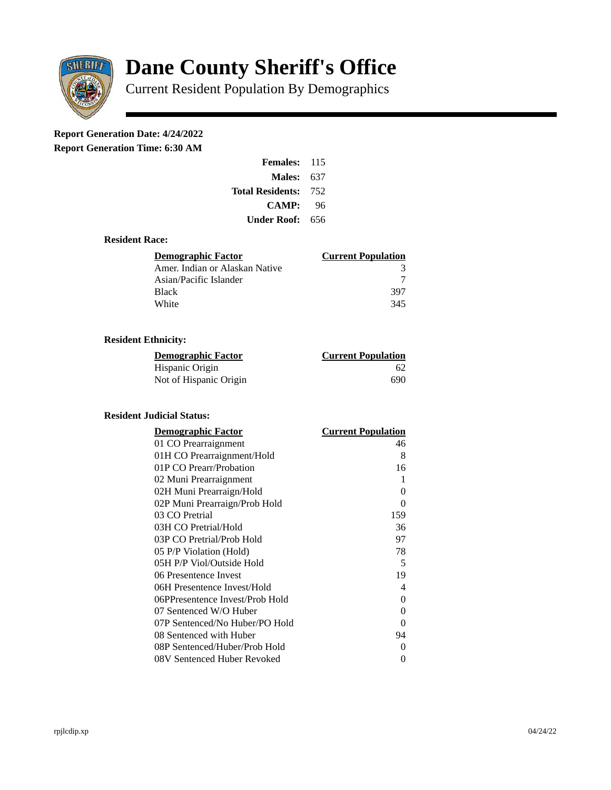

# **Dane County Sheriff's Office**

Current Resident Population By Demographics

# **Report Generation Date: 4/24/2022**

**Report Generation Time: 6:30 AM** 

| <b>Females:</b>         | 115 |  |
|-------------------------|-----|--|
| Males:                  | 637 |  |
| <b>Total Residents:</b> | 752 |  |
| <b>CAMP:</b>            | 96  |  |
| Under Roof: \           | 656 |  |

### **Resident Race:**

| Demographic Factor             | <b>Current Population</b> |
|--------------------------------|---------------------------|
| Amer. Indian or Alaskan Native |                           |
| Asian/Pacific Islander         |                           |
| Black                          | 397                       |
| White                          | 345                       |

# **Resident Ethnicity:**

| <u> Demographic Factor</u> | <b>Current Population</b> |
|----------------------------|---------------------------|
| Hispanic Origin            | 62                        |
| Not of Hispanic Origin     | 690                       |

#### **Resident Judicial Status:**

| <b>Demographic Factor</b>       | <b>Current Population</b> |
|---------------------------------|---------------------------|
| 01 CO Prearraignment            | 46                        |
| 01H CO Prearraignment/Hold      | 8                         |
| 01P CO Prearr/Probation         | 16                        |
| 02 Muni Prearraignment          | 1                         |
| 02H Muni Prearraign/Hold        | 0                         |
| 02P Muni Prearraign/Prob Hold   | 0                         |
| 03 CO Pretrial                  | 159                       |
| 03H CO Pretrial/Hold            | 36                        |
| 03P CO Pretrial/Prob Hold       | 97                        |
| 05 P/P Violation (Hold)         | 78                        |
| 05H P/P Viol/Outside Hold       | 5                         |
| 06 Presentence Invest           | 19                        |
| 06H Presentence Invest/Hold     | 4                         |
| 06PPresentence Invest/Prob Hold | 0                         |
| 07 Sentenced W/O Huber          | 0                         |
| 07P Sentenced/No Huber/PO Hold  | 0                         |
| 08 Sentenced with Huber         | 94                        |
| 08P Sentenced/Huber/Prob Hold   | 0                         |
| 08V Sentenced Huber Revoked     | 0                         |